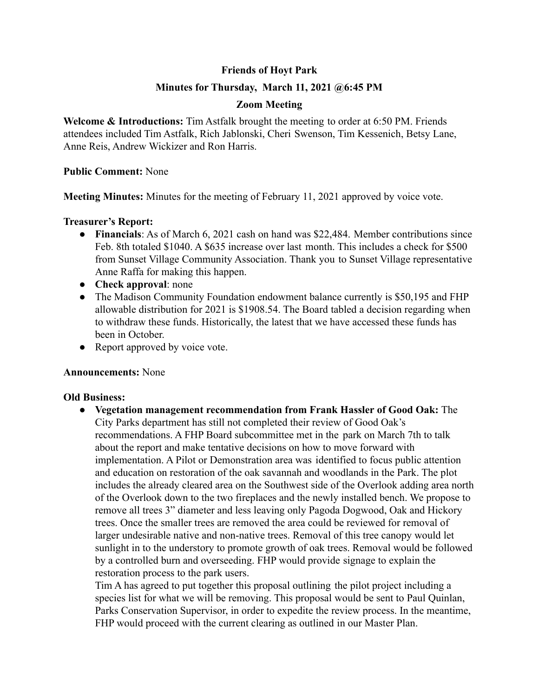## **Friends of Hoyt Park**

## **Minutes for Thursday, March 11, 2021 @6:45 PM**

## **Zoom Meeting**

**Welcome & Introductions:** Tim Astfalk brought the meeting to order at 6:50 PM. Friends attendees included Tim Astfalk, Rich Jablonski, Cheri Swenson, Tim Kessenich, Betsy Lane, Anne Reis, Andrew Wickizer and Ron Harris.

#### **Public Comment:** None

**Meeting Minutes:** Minutes for the meeting of February 11, 2021 approved by voice vote.

#### **Treasurer's Report:**

- **Financials**: As of March 6, 2021 cash on hand was \$22,484. Member contributions since Feb. 8th totaled \$1040. A \$635 increase over last month. This includes a check for \$500 from Sunset Village Community Association. Thank you to Sunset Village representative Anne Raffa for making this happen.
- **Check approval**: none
- The Madison Community Foundation endowment balance currently is \$50,195 and FHP allowable distribution for 2021 is \$1908.54. The Board tabled a decision regarding when to withdraw these funds. Historically, the latest that we have accessed these funds has been in October.
- Report approved by voice vote.

## **Announcements:** None

## **Old Business:**

**● Vegetation management recommendation from Frank Hassler of Good Oak:** The City Parks department has still not completed their review of Good Oak's recommendations. A FHP Board subcommittee met in the park on March 7th to talk about the report and make tentative decisions on how to move forward with implementation. A Pilot or Demonstration area was identified to focus public attention and education on restoration of the oak savannah and woodlands in the Park. The plot includes the already cleared area on the Southwest side of the Overlook adding area north of the Overlook down to the two fireplaces and the newly installed bench. We propose to remove all trees 3" diameter and less leaving only Pagoda Dogwood, Oak and Hickory trees. Once the smaller trees are removed the area could be reviewed for removal of larger undesirable native and non-native trees. Removal of this tree canopy would let sunlight in to the understory to promote growth of oak trees. Removal would be followed by a controlled burn and overseeding. FHP would provide signage to explain the restoration process to the park users.

Tim A has agreed to put together this proposal outlining the pilot project including a species list for what we will be removing. This proposal would be sent to Paul Quinlan, Parks Conservation Supervisor, in order to expedite the review process. In the meantime, FHP would proceed with the current clearing as outlined in our Master Plan.